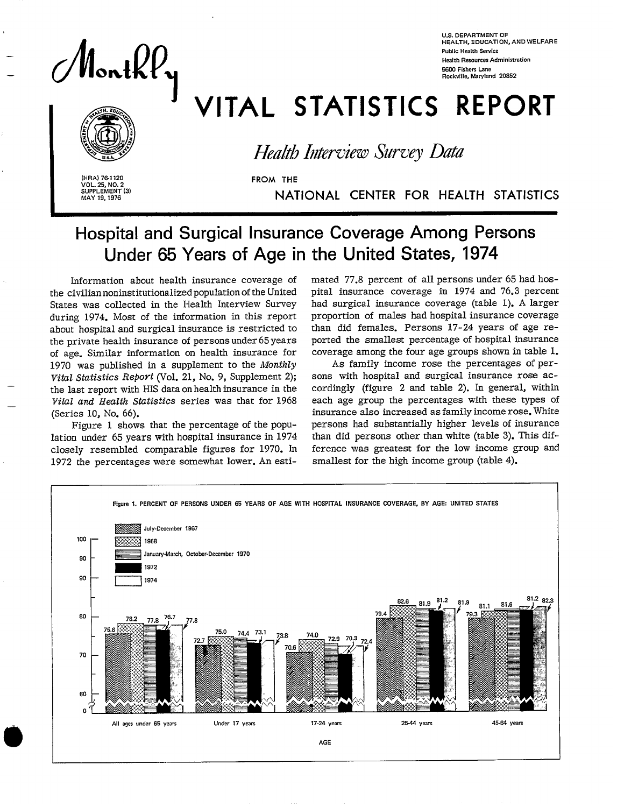Monthly

**U.S. DEPARTMENT OF HEALTH, EOUCATI ON, ANO WELFAR E Public Health Service Health ResourcesAdministration 56W Fishers Lane Rockville, Maryland 20S52** 

# VITAL STATISTICS REPORT<br>Health Interview Survey Data



*Health Interview* Survey Data

**I (HRA) 76-1120**<br> **VOL. 25, NO. 2**<br> **SUPPLEMENT (3)**<br>
MAY 19, 1976<br> **I** -<br>(3) **VOL. 25, NO. 2<br>
SUPPLEMENT<br>
MAY 19, 1976** 

**MAY 19,1976** NATIONAL CENTER FOR HEALTH STATISTICS

# **Hospital and Surgical Insurance Coverage Among Persons Under 65 Years of Age in the United States, 1974**

Information about health insurance coverage of the civilian noninstitutionalized population of the United States was collected in the Health Interview Survey during 1974. Most of the information in this report about hospital and surgical insurance is restricted to the private health insurance of persons under 65 years of age. Similar information on health insurance for 1970 was published in a supplement to the *Monthly*  the last report with HIS data on health insurance in the *Vital and Health Statistics series was that for 1968* (Series 10, No. 66).

Figure 1 shows that the percentage of the population under 65 years with hospital insurance in 1974 closelv resembled comparable figures for 1970. In 1972 the percentages were somewhat lower. An estimated 77.8 percent of all persons under 65 had hospital insurance coverage in 1974 and 76.3 percent had surgical insurance coverage (table 1). A larger proportion of males had hospital insurance coverage than did females. Persons 17-24 years of age *re*ported the smallest percentage of hospital insurance coverage among the four age groups shown in table 1.

As family income rose the percentages of persons with hospital and surgical insurance rose accordingly (figure 2 and table 2). In general, within each age group the percentages with these types of insurance also increased as family income rose. White persons had substantially higher levels of insurance than did persons other than white (table 3). This difference was greatest for the low income group and smallest for the high income group (table 4).

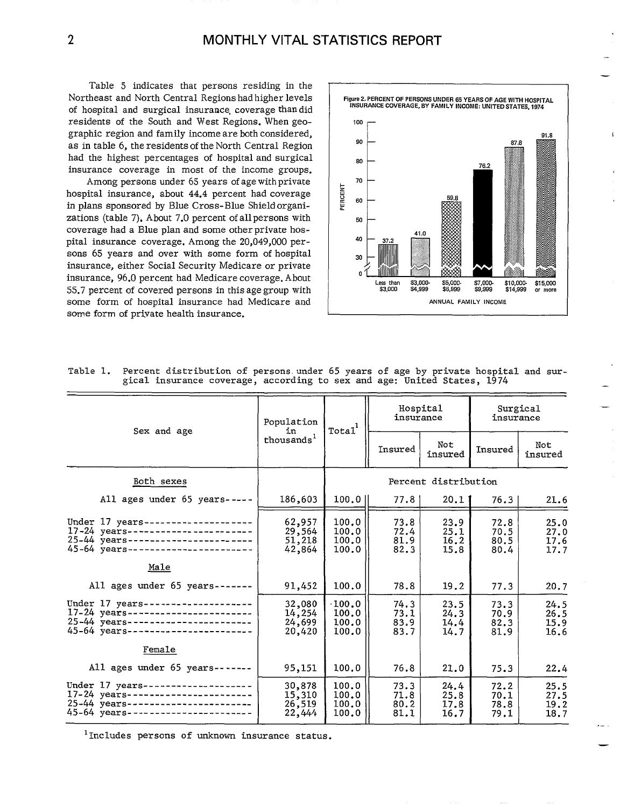Table 5 indicates that persons residing in the Northeast and North Central Regions had higher levels of hospital and surgical insurance, coverage than did residents of the South and West Regions. When geo- 100 graphic region and family income are both considered,  $\begin{array}{c|c} \hline \end{array}$  90 as in table 6, the residents of the North Central Region had the highest percentages of hospital and surgical insurance coverage in most of the income groups.

Among persons under 65 years of age with private hospital insurance, about 44.4 percent had coverage in plans sponsored by Blue Cross-Blue Shield organizations (table 7). About 7.0 percent of all persons with coverage had a Blue plan and some other private hospital insurance coverage. Among the 20,049,000 persons 65 years and over with some form of hospital insurance, either Social Security Medicare or private insurance, 96.0 percent had Medicare coverage. About Less **than** \$3,000- \$J,oO&. .5&g. \$10,000- \$15,000 55.7 percent of covered persons in this age group with some form of hospital insurance had Medicare and ANNUAL FAMILY INCOME some form of private health insurance.



— —

| Sex and age                                                                                                                                                | Population<br>in                     | Total <sup>1</sup>                       | insurance                    | Hospital                     | insurance                    |                                                                                                                                                    |
|------------------------------------------------------------------------------------------------------------------------------------------------------------|--------------------------------------|------------------------------------------|------------------------------|------------------------------|------------------------------|----------------------------------------------------------------------------------------------------------------------------------------------------|
|                                                                                                                                                            | thousands <sup>1</sup>               |                                          | Insured                      | Not<br>insured               | Insured                      | Surgical<br>Not<br>insured<br>21.6<br>25.0<br>27.0<br>17.6<br>17.7<br>20.7<br>24.5<br>26.5<br>15.9<br>16.6<br>22.4<br>25.5<br>27.5<br>19.2<br>18.7 |
| Both sexes                                                                                                                                                 |                                      |                                          |                              | Percent distribution         |                              |                                                                                                                                                    |
| All ages under 65 years-----                                                                                                                               | 186,603                              | $100.0$                                  | 77.81                        | 20,11                        | 76.3                         |                                                                                                                                                    |
| Under 17 years---------------------<br>17-24 years----------------------<br>25-44 years-----------------------<br>45-64 years-----------------------       | 62,957<br>29,564<br>51,218<br>42,864 | 100.0<br>100.0<br>100.0<br>100.0         | 73.8<br>72.4<br>81.9<br>82.3 | 23.9<br>25.1<br>16.2<br>15.8 | 72.8<br>70.5<br>80.5<br>80.4 |                                                                                                                                                    |
| Male                                                                                                                                                       |                                      |                                          |                              |                              |                              |                                                                                                                                                    |
| All ages under $65$ years-------                                                                                                                           | 91,452                               | 100.0                                    | 78.8                         | 19.2                         | 77.3                         |                                                                                                                                                    |
| Under 17 years--------------------<br>$17-24$ years-----------------------<br>$25 - 44$ years-----------------------<br>45-64 years----------------------- | 32,080<br>14,254<br>24,699<br>20,420 | $\cdot 100.0$<br>100.0<br>100.0<br>100.0 | 74.3<br>73.1<br>83.9<br>83.7 | 23.5<br>24.3<br>14.4<br>14.7 | 73.3<br>70.9<br>82.3<br>81.9 |                                                                                                                                                    |
| Female                                                                                                                                                     |                                      |                                          |                              |                              |                              |                                                                                                                                                    |
| All ages under $65$ years-------                                                                                                                           | 95,151                               | 100.0                                    | 76.8                         | 21.0                         | 75.3                         |                                                                                                                                                    |
| Under 17 years--------------------<br>$17-24$ years-----------------------<br>25-44 years-----------------------<br>45-64 years-----------------------     | 30,878<br>15,310<br>26,519<br>22,444 | 100.0<br>100.0<br>100.0<br>100.0         | 73.3<br>71.8<br>80.2<br>81.1 | 24.4<br>25.8<br>17.8<br>16.7 | 72.2<br>70.1<br>78.8<br>79.1 |                                                                                                                                                    |

Table 1. Percent distribution of persons under 65 years of age by private hospital and sur-<br>gical insurance coverage, according to sex and age: United States, 1974

<sup>1</sup>Includes persons of unknown insurance status.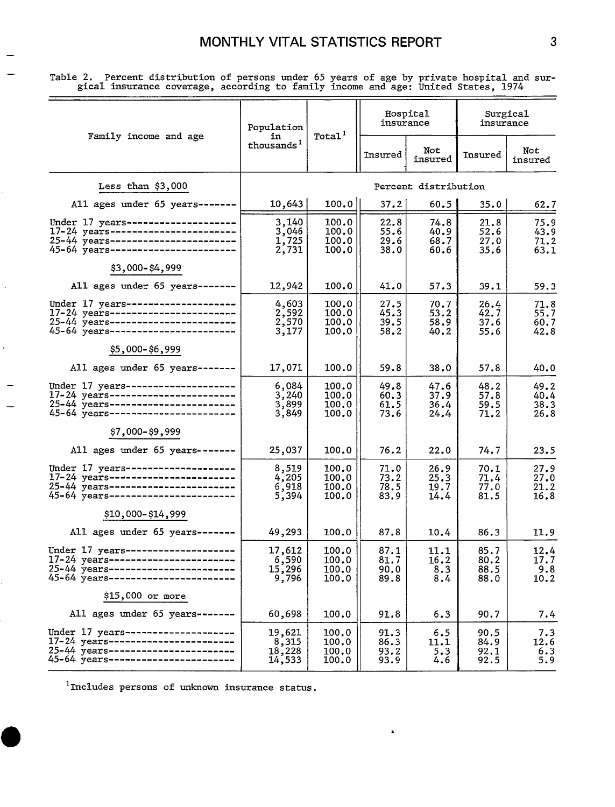Table 2. Percent distribution of persons under 65 years of age by private hospital and surgical insurance coverage, according to family income and age: United States, 1974

|                                                                                                                                                          | Population                            | Total <sup>1</sup>               | insurance                    | Hospital                     | Surgical<br>insurance        |                              |  |
|----------------------------------------------------------------------------------------------------------------------------------------------------------|---------------------------------------|----------------------------------|------------------------------|------------------------------|------------------------------|------------------------------|--|
| Family income and age                                                                                                                                    | in<br>thousands <sup>1</sup>          |                                  | Insured                      | Not<br>insured               | Insured                      | Not<br>insured               |  |
| Less than \$3,000                                                                                                                                        |                                       |                                  |                              | Percent distribution         |                              |                              |  |
| All ages under 65 years -------                                                                                                                          | 10,643                                | 100.0                            | 37.2                         | 60.5                         | 35.0                         | 62.7                         |  |
| Under 17 years--------------------<br>17-24 years-------------------------<br>25-44 years------------------------<br>45-64 years-----------------------  | 3,140<br>3,046<br>$\frac{1}{2}$ , 725 | 100.0<br>100.0<br>100.0<br>100.0 | 22.8<br>55.6<br>29.6<br>38.0 | 74.8<br>40.9<br>68.7<br>60.6 | 21.8<br>52.6<br>27.0<br>35.6 | 75.9<br>43.9<br>71.2<br>63.1 |  |
| \$3,000-\$4,999                                                                                                                                          |                                       |                                  |                              |                              |                              |                              |  |
| All ages under 65 years -------                                                                                                                          | 12,942                                | 100.0                            | 41.0                         | 57.3                         | 39.1                         | 59.3                         |  |
| Under 17 years--------------------<br>17-24 years-----------------------<br>25-44 years------------------------<br>45-64 years-----------------------    | 4,603<br>2,592<br>2,570<br>3,177      | 100.0<br>100.0<br>100.0<br>100.0 | 27.5<br>45.3<br>39.5<br>58.2 | 70.7<br>53.2<br>58.9<br>40.2 | 26.4<br>42.7<br>37.6<br>55.6 | 71.8<br>55.7<br>60.7<br>42.8 |  |
| \$5,000-\$6,999                                                                                                                                          |                                       |                                  |                              |                              |                              |                              |  |
| All ages under 65 years-------                                                                                                                           | 17,071                                | 100.0                            | 59.8                         | 38.0                         | 57.8                         | 40.0                         |  |
| Under 17 years---------------------<br>17-24 years-----------------------<br>25-44 years------------------------<br>45-64 years-------------------       | 6,084<br>3,240<br>3,899<br>3,849      | 100.0<br>100.0<br>100.0<br>100.0 | 49.8<br>60.3<br>61.5<br>73.6 | 47.6<br>37.9<br>36.4<br>24.4 | 48.2<br>57.8<br>59.5<br>71.2 | 49.2<br>40.4<br>38.3<br>26.8 |  |
| \$7,000-\$9,999                                                                                                                                          |                                       |                                  |                              |                              |                              |                              |  |
| All ages under 65 years-------                                                                                                                           | 25,037                                | 100.0                            | 76.2                         | 22.0                         | 74.7                         | 23.5                         |  |
| Under 17 years---------------------<br>17-24 years------------------------<br>25-44 years------------------------<br>45-64 years------------------------ | 8,519<br>4,205<br>6,918<br>5,394      | 100.0<br>100.0<br>100.0<br>100.0 | 71.0<br>73.2<br>78.5<br>83.9 | 26.9<br>25.3<br>19.7<br>14.4 | 70.1<br>71.4<br>77.0<br>81.5 | 27.9<br>27.0<br>21.2<br>16.8 |  |
| \$10,000-\$14,999                                                                                                                                        |                                       |                                  |                              |                              |                              |                              |  |
| All ages under 65 years -------                                                                                                                          | 49,293                                | 100.0                            | 87.8                         | 10.4                         | 86.3                         | 11.9                         |  |
| Under 17 years--------------------<br>17-24 years-----------------------<br>25-44 years-----------------------<br>45-64 years------------------------    | 17,612<br>6,590<br>15,296<br>9,796    | 100.0<br>100.0<br>100.0<br>100.0 | 87.1<br>81.7<br>90.0<br>89.8 | 11.1<br>16.2<br>8.3<br>8.4   | 85.7<br>80.2<br>88.5<br>88.0 | 12.4<br>17.7<br>9.8<br>10.2  |  |
| \$15,000 or more                                                                                                                                         |                                       |                                  |                              |                              |                              |                              |  |
| All ages under 65 years-------                                                                                                                           | 60,698                                | 100.0                            | 91.8                         | 6.3                          | 90.7                         | 7.4                          |  |
| Under 17 years-----------------<br>17-24 years------------------------<br>25-44 years------------------------<br>45-64 years--------------------         | 19,621<br>8,315<br>18,228<br>14,533   | 100.0<br>100.0<br>100.0<br>100.0 | 91.3<br>86.3<br>93.2<br>93.9 | 6.5<br>11.1<br>5.3<br>4.6    | 90.5<br>84.9<br>92.1<br>92.5 | 7.3<br>12.6<br>6.3<br>5.9    |  |

<sup>1</sup>Includes persons of unknown insurance status.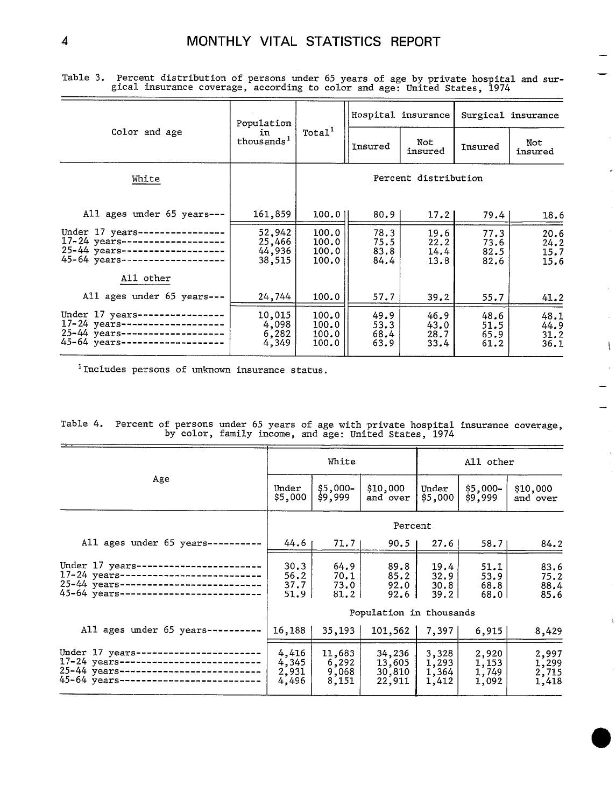|                                                                                                                                            | Population                           |                                                 |                              | Hospital insurance           | Surgical insurance           |                              |  |  |
|--------------------------------------------------------------------------------------------------------------------------------------------|--------------------------------------|-------------------------------------------------|------------------------------|------------------------------|------------------------------|------------------------------|--|--|
| Color and age                                                                                                                              | in.<br>thous ands <sup>1</sup>       | Total <sup>1</sup><br>Not<br>Insured<br>insured |                              | Insured                      | Not<br>insured               |                              |  |  |
| White                                                                                                                                      |                                      | Percent distribution                            |                              |                              |                              |                              |  |  |
| All ages under 65 years---                                                                                                                 | 161,859                              | 100.0                                           | 80.9                         | 17.2 <sub>1</sub>            | 79.4                         | 18.6                         |  |  |
| Under 17 years-----------------<br>$17 - 24$ years --<br>-----------------<br>$25 - 44$ years--------------------<br>$45 - 64$ years ----- | 52,942<br>25,466<br>44,936<br>38,515 | 100.0<br>100.0<br>100.0<br>100.0                | 78.3<br>75.5<br>83.8<br>84.4 | 19.6<br>22.2<br>14.4<br>13.8 | 77.3<br>73.6<br>82.5<br>82.6 | 20.6<br>24.2<br>15.7<br>15.6 |  |  |
| All other                                                                                                                                  |                                      |                                                 |                              |                              |                              |                              |  |  |
| All ages under 65 years---                                                                                                                 | 24,744                               | 100.0                                           | 57.7                         | 39.2                         | 55.7                         | 41.2                         |  |  |
| Under 17 years----------------<br>17-24 years--------------------<br>25-44 years--------------------<br>45-64 years-----------------       | 10,015<br>4,098<br>6,282<br>4,349    | 100.0<br>100.0<br>100.0<br>100.0                | 49.9<br>53.3<br>68.4<br>63.9 | 46.9<br>43.0<br>28.7<br>33.4 | 48.6<br>51.5<br>65.9<br>61.2 | 48.1<br>44.9<br>31.2<br>36.1 |  |  |

Table 3. Percent distribution of persons under 65 years of age by private hospital and sur- gical insurance coverage, according to color and age: United States, 1974

lIncludes persons of unknown insurance status.

|  |  | Table 4. Percent of persons under 65 years of age with private hospital insurance coverage, |  |
|--|--|---------------------------------------------------------------------------------------------|--|
|  |  | by color, family income, and age: United States, 1974                                       |  |

|                                                                                                                                               |                                  | White                             |                                             |                                  | All other                        |                                  |  |  |
|-----------------------------------------------------------------------------------------------------------------------------------------------|----------------------------------|-----------------------------------|---------------------------------------------|----------------------------------|----------------------------------|----------------------------------|--|--|
| Age                                                                                                                                           | Under<br>\$5,000                 | $$5,000-$<br>\$9,999              | \$10,000<br>and over                        | Under<br>\$5,000                 | \$5,000-<br>\$9,999              | \$10,000<br>and over             |  |  |
|                                                                                                                                               | Percent                          |                                   |                                             |                                  |                                  |                                  |  |  |
| All ages under 65 years-                                                                                                                      | 44.6                             | 71.7 <sub>1</sub>                 | 90.5                                        | 27.6                             | 58.71                            | 84.2                             |  |  |
| Under 17 years-<br>$17-24$ years----------------------------<br>25-44 years--------------------------<br>45-64 years------------------------- | 30.3<br>56.2<br>37.7<br>51.9     | 64.9<br>70.1<br>73.0<br>81.2      | 89.8<br>85.2<br>92.0 l<br>92.6 <sub>1</sub> | 19.4<br>32.9<br>30.8<br>39.2     | 51.1<br>53.9<br>68.8<br>68.OI    | 83.6<br>75.2<br>88.4<br>85.6     |  |  |
|                                                                                                                                               |                                  |                                   | Population in thousands                     |                                  |                                  |                                  |  |  |
| All ages under 65 years---                                                                                                                    | 16.188                           | 35,193                            | 101,562                                     | 7,397                            | 6,915                            | 8,429                            |  |  |
| Under 17 years-<br>17-24 years--------------------------<br>25-44 years--------------------------<br>45-64 years------------------            | 4,416<br>4,345<br>2,931<br>4,496 | 11,683<br>6,292<br>9,068<br>8,151 | 34,236<br>13,605<br>30,810<br>22,911        | 3,328<br>1,293<br>1,364<br>1,412 | 2,920<br>1,153<br>1,749<br>1,092 | 2,997<br>1,299<br>2,715<br>1,418 |  |  |

—

 $\overline{1}$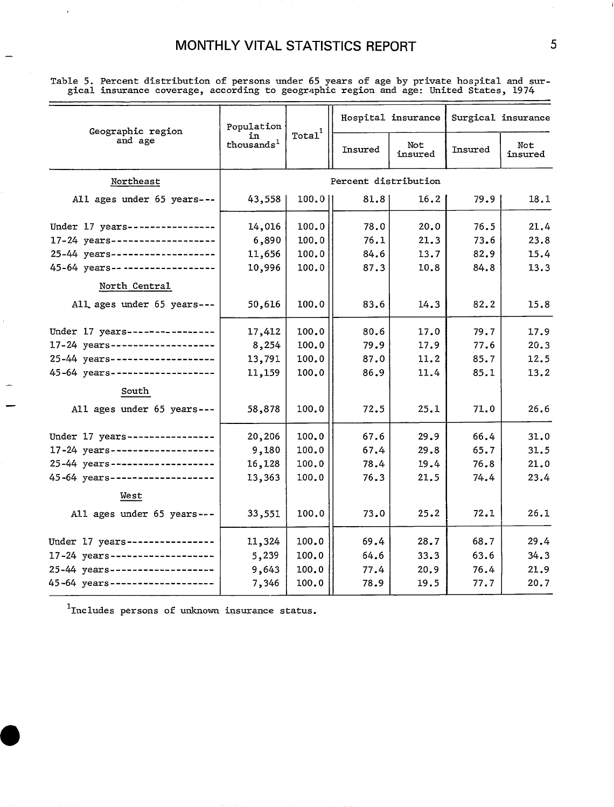## MONTHLY VITAL STATISTICS REPORT

Table 5. Percent distribution of persons under 65 years of age by private hospital and sur-<br>gical insurance coverage, according to geographic region and age: United States, 1974

| Geographic region               | Population                   |                    |         | Hospital insurance | Surgical insurance |                |  |
|---------------------------------|------------------------------|--------------------|---------|--------------------|--------------------|----------------|--|
| and age                         | īn<br>thousands <sup>1</sup> | Total <sup>1</sup> | Insured | Not<br>insured     | Insured            | Not<br>insured |  |
| Northeast                       |                              |                    |         |                    |                    |                |  |
| All ages under 65 years ---     | 43,558                       | $100.0$            | 81.8    | 16.2               | 79.9               | 18.1           |  |
| Under 17 years----------------  | 14,016                       | 100.0              | 78.0    | 20.0               | 76.5               | 21.4           |  |
| 17-24 years-------------------- | 6,890                        | 100.0              | 76.1    | 21.3               | 73.6               | 23.8           |  |
| 25-44 years-------------------  | 11,656                       | 100.0              | 84.6    | 13.7               | 82.9               | 15.4           |  |
| 45-64 years-------------------  | 10,996                       | 100.0              | 87.3    | 10.8               | 84.8               | 13.3           |  |
| North Central                   |                              |                    |         |                    |                    |                |  |
| All ages under 65 years ---     | 50,616                       | 100.0              | 83.6    | 14.3               | 82.2               | 15.8           |  |
| Under 17 years ---------------- | 17,412                       | 100.0              | 80.6    | 17.0               | 79.7               | 17.9           |  |
| 17-24 years-------------------- | 8,254                        | 100.0              | 79.9    | 17.9               | 77.6               | 20.3           |  |
| 25-44 years-------------------  | 13,791                       | 100.0              | 87.0    | 11.2               | 85.7               | 12.5           |  |
| 45-64 years-------------------- | 11,159                       | 100.0              | 86.9    | 11.4               | 85.1               | 13.2           |  |
| South                           |                              |                    |         |                    |                    |                |  |
| All ages under 65 years ---     | 58,878                       | 100.0              | 72.5    | 25.1               | 71.0               | 26.6           |  |
| Under 17 years----------------  | 20,206                       | 100.0              | 67.6    | 29.9               | 66.4               | 31.0           |  |
| 17-24 years-------------------  | 9,180                        | 100.0              | 67.4    | 29.8               | 65.7               | 31.5           |  |
| 25-44 years-------------------  | 16,128                       | 100.0              | 78.4    | 19.4               | 76.8               | 21.0           |  |
| 45-64 years---------------      | 13,363                       | 100.0              | 76.3    | 21.5               | 74.4               | 23.4           |  |
| West                            |                              |                    |         |                    |                    |                |  |
| All ages under 65 years ---     | 33,551                       | 100.0              | 73.0    | 25.2               | 72.1               | 26.1           |  |
| Under 17 years----------------  | 11,324                       | 100.0              | 69.4    | 28.7               | 68.7               | 29.4           |  |
| 17-24 years-------------------  | 5,239                        | 100.0              | 64.6    | 33.3               | 63.6               | 34.3           |  |
| 25-44 years-------------------  | 9,643                        | 100.0              | 77.4    | 20.9               | 76.4               | 21.9           |  |
| 45-64 years-------------------  | 7,346                        | 100.0              | 78.9    | 19.5               | 77.7               | 20.7           |  |

 $1$ Includes persons of unknown insurance status.

 $\overline{5}$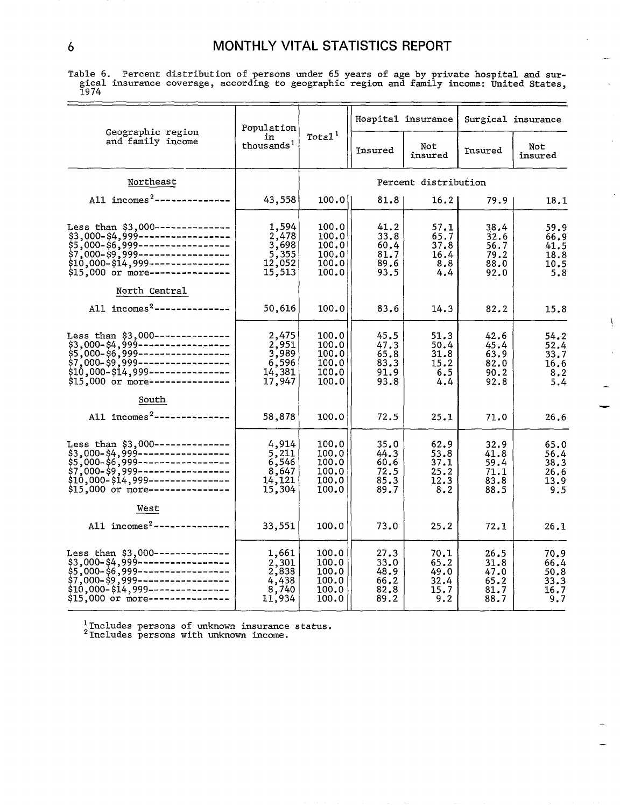## 6 MONTHLY VITAL STATISTICS REPORT

Table 6. Percent distribution of persons under 65 years of age by private hospital and surgical insurance coverage, according to geographic region and family income: United States,

|                                                                                                                                                                                                                                                                                                  | Population                                                               |                                                    |                                              | Hospital insurance                          |                                              | Surgical insurance                          |  |
|--------------------------------------------------------------------------------------------------------------------------------------------------------------------------------------------------------------------------------------------------------------------------------------------------|--------------------------------------------------------------------------|----------------------------------------------------|----------------------------------------------|---------------------------------------------|----------------------------------------------|---------------------------------------------|--|
| Geographic region<br>and family income                                                                                                                                                                                                                                                           | in<br>thousands <sup>1</sup>                                             | $\texttt{Total}^1$                                 | Insured                                      | Not<br>insured                              | Insured                                      | Not<br>insured                              |  |
| Northeast                                                                                                                                                                                                                                                                                        |                                                                          |                                                    |                                              | Percent distribution                        |                                              |                                             |  |
| All incomes <sup>2</sup> ---------------                                                                                                                                                                                                                                                         | 43,558                                                                   | 100.0                                              | 81.8                                         | 16.2                                        | 79.9                                         | 18.1                                        |  |
| Less than \$3,000 --------------<br>$$3,000-$4,999-111171718783,000-$6,999-1111718783,000-$6,999-1111718783,000-$6,999-1111718783,000-$9,999-1111718783,000-$14,999-11117187833,000 or more-11117187833,000 or more-11117187833,000 or more-11117187833,000 or more-11117187833,000 or more-111$ | $1,594$<br>$2,478$<br>$3,698$<br>$5,355$<br>$12,052$<br>15,513           | 100.0<br>100.0<br>100.0<br>100.0<br>100.0<br>100.0 | 41.2<br>33.8<br>60.4<br>81.7<br>89.6<br>93.5 | 57.1<br>65.7<br>37.8<br>16.4<br>8.8<br>4.4  | 38.4<br>32.6<br>56.7<br>79.2<br>88.0<br>92.0 | 59.9<br>66.9<br>41.5<br>18.8<br>10.5<br>5.8 |  |
| North Central<br>All $incomes2$ --------------                                                                                                                                                                                                                                                   | 50,616                                                                   | 100.0                                              | 83.6                                         | 14.3                                        | 82.2                                         | 15.8                                        |  |
| Less than \$3,000--------------<br>Less chan<br>\$3,000-\$4,999---------------------<br>\$7,000-\$6,999--------------------<br>\$10,000-\$14,999------------------<br>\$10,000-\$14,999------------------                                                                                        | $2,475$<br>$2,951$<br>$3,989$<br>$6,596$<br>$\ddots$<br>14,381<br>17,947 | 100.0<br>100.0<br>100.0<br>100.0<br>100.0<br>100.0 | 45.5<br>47.3<br>65.8<br>83.3<br>91.9<br>93.8 | 51.3<br>50.4<br>31.8<br>15.2<br>6.5<br>4.4  | 42.6<br>45.4<br>63.9<br>82.0<br>90.2<br>92.8 | 54.2<br>52.4<br>33.7<br>16.6<br>8,2<br>5.4  |  |
| South<br>All incomes <sup>2</sup> ---------------                                                                                                                                                                                                                                                | 58,878                                                                   | 100.0                                              | 72.5                                         | 25.1                                        | 71.0                                         | 26.6                                        |  |
| Less than \$3,000---------------<br>\$3,000-\$4,999------------------<br>\$5,000-\$6,999------------------<br>\$7,000-\$9,999-------------------<br>\$10,000-\$14,999------------------<br>\$15,000 or more----------------                                                                      | $\frac{4,914}{5,211}$<br>6,546<br>8,647<br>14,121<br>15,304              | 100.0<br>100.0<br>100.0<br>100.0<br>100.0<br>100.0 | 35.0<br>44.3<br>60.6<br>72.5<br>85.3<br>89.7 | 62.9<br>53.8<br>37.1<br>25.2<br>12.3<br>8.2 | 32.9<br>41.8<br>59.4<br>71.1<br>83.8<br>88.5 | 65.0<br>56.4<br>38.3<br>26.6<br>13.9<br>9.5 |  |
| West<br>All incomes <sup>2</sup> ---------------                                                                                                                                                                                                                                                 | 33,551                                                                   | 100.0                                              | 73.0                                         | 25.2                                        | 72.1                                         | 26.1                                        |  |
| Less than \$3,000---------------<br>\$3,000-\$4,999------------------<br>\$5,000-\$6,999------------------<br>\$7,000-\$9,999------------------<br>\$10,000-\$14,999-----------------<br>\$15,000 or more----------------                                                                        | 1,661<br>$\frac{2,301}{2,838}$<br>4,438<br>8,740<br>11,934               | 100.0<br>100.0<br>100.0<br>100.0<br>100.0<br>100.0 | 27.3<br>33.0<br>48.9<br>66.2<br>82.8<br>89.2 | 70.1<br>65.2<br>49.0<br>32.4<br>15.7<br>9.2 | 26.5<br>31.8<br>47.0<br>65.2<br>81.7<br>88.7 | 70.9<br>66.4<br>50.8<br>33.3<br>16.7<br>9.7 |  |

<sup>1</sup>Includes persons of unknown insurance status.<br><sup>2</sup>Includes persons with unknown income.

 $\mathbf i$ 

 $\bar{\alpha}$ 

—